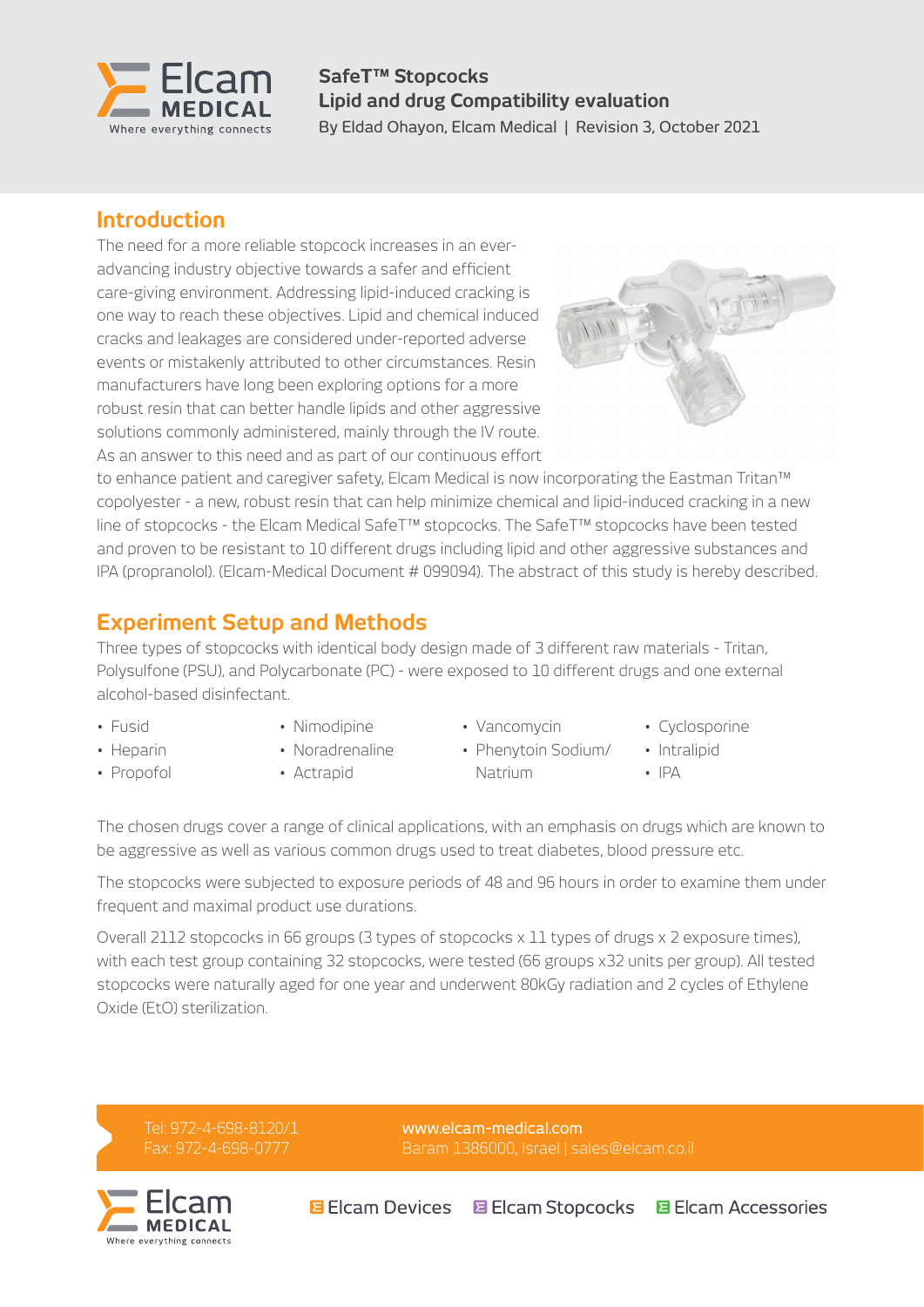

**SafeT™ Stopcocks Lipid and drug Compatibility evaluation** By Eldad Ohayon, Elcam Medical | Revision 3, October 2021

### **Introduction**

The need for a more reliable stopcock increases in an everadvancing industry objective towards a safer and efficient care-giving environment. Addressing lipid-induced cracking is one way to reach these objectives. Lipid and chemical induced cracks and leakages are considered under-reported adverse events or mistakenly attributed to other circumstances. Resin manufacturers have long been exploring options for a more robust resin that can better handle lipids and other aggressive solutions commonly administered, mainly through the IV route. As an answer to this need and as part of our continuous effort



to enhance patient and caregiver safety, Elcam Medical is now incorporating the Eastman Tritan™ copolyester - a new, robust resin that can help minimize chemical and lipid-induced cracking in a new line of stopcocks - the Elcam Medical SafeT™ stopcocks. The SafeT™ stopcocks have been tested and proven to be resistant to 10 different drugs including lipid and other aggressive substances and IPA (propranolol). (Elcam-Medical Document # 099094). The abstract of this study is hereby described.

# **Experiment Setup and Methods**

Three types of stopcocks with identical body design made of 3 different raw materials - Tritan, Polysulfone (PSU), and Polycarbonate (PC) - were exposed to 10 different drugs and one external alcohol-based disinfectant.

- Fusid
- Heparin • Propofol
- Nimodipine • Noradrenaline

• Actrapid

• Vancomycin • Phenytoin Sodium/

Natrium

- Cyclosporine
	- Intralipid
	- IPA

The chosen drugs cover a range of clinical applications, with an emphasis on drugs which are known to be aggressive as well as various common drugs used to treat diabetes, blood pressure etc.

The stopcocks were subjected to exposure periods of 48 and 96 hours in order to examine them under frequent and maximal product use durations.

Overall 2112 stopcocks in 66 groups (3 types of stopcocks x 11 types of drugs x 2 exposure times), with each test group containing 32 stopcocks, were tested (66 groups x32 units per group). All tested stopcocks were naturally aged for one year and underwent 80kGy radiation and 2 cycles of Ethylene Oxide (EtO) sterilization.

Tel: 972-4-698-8120/1 Fax: 972-4-698-0777

[www.elcam-medical.com](http://www.elcam-medical.com) Baram 1386000, Israel | [sales@elcam.co.il](mailto:sales@elcam.co.il)

**目 Elcam Devices E Elcam Stopcocks E** Elcam Accessories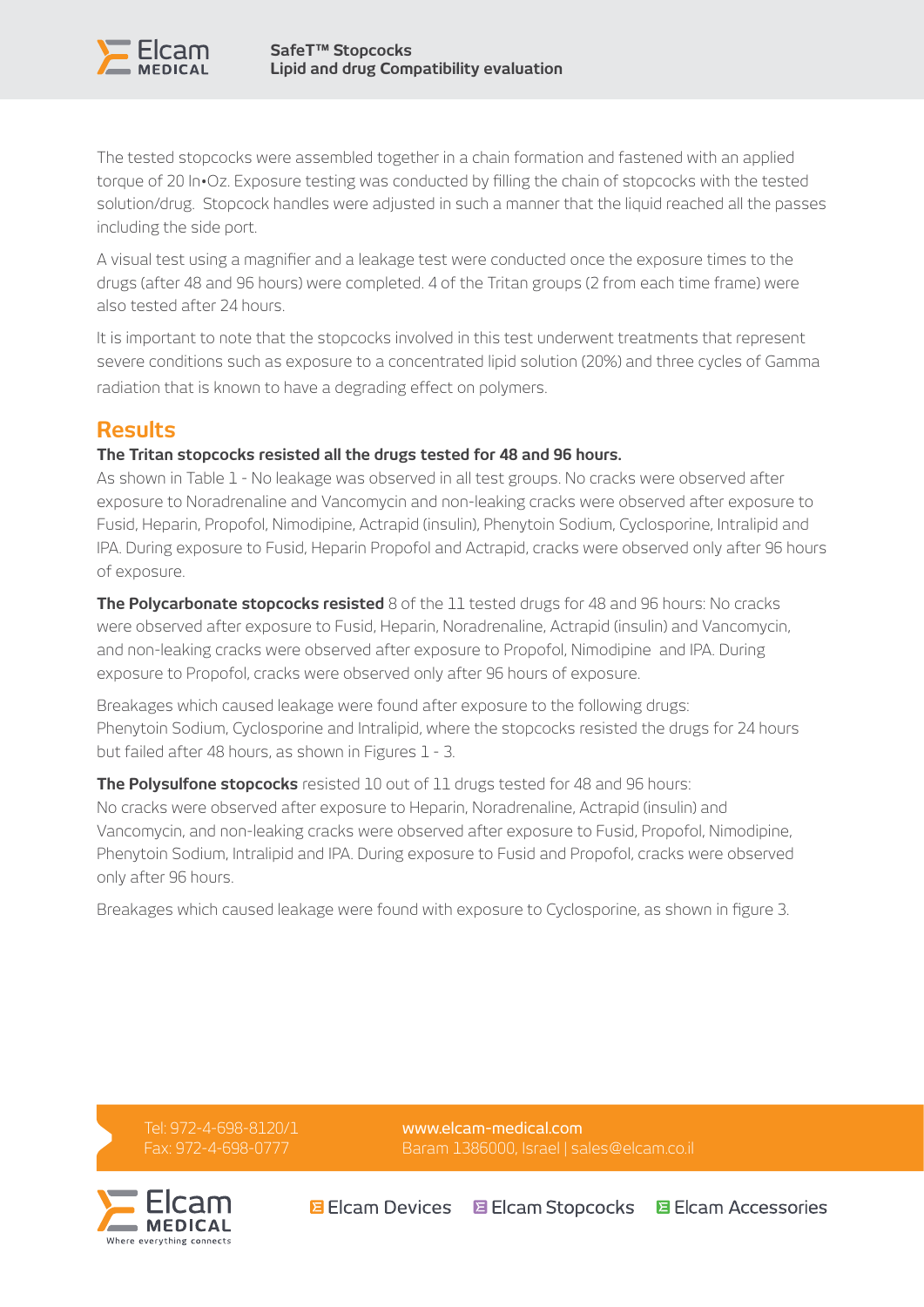

The tested stopcocks were assembled together in a chain formation and fastened with an applied torque of 20 In•Oz. Exposure testing was conducted by filling the chain of stopcocks with the tested solution/drug. Stopcock handles were adjusted in such a manner that the liquid reached all the passes including the side port.

A visual test using a magnifier and a leakage test were conducted once the exposure times to the drugs (after 48 and 96 hours) were completed. 4 of the Tritan groups (2 from each time frame) were also tested after 24 hours.

It is important to note that the stopcocks involved in this test underwent treatments that represent severe conditions such as exposure to a concentrated lipid solution (20%) and three cycles of Gamma radiation that is known to have a degrading effect on polymers.

## **Results**

#### **The Tritan stopcocks resisted all the drugs tested for 48 and 96 hours.**

As shown in Table 1 - No leakage was observed in all test groups. No cracks were observed after exposure to Noradrenaline and Vancomycin and non-leaking cracks were observed after exposure to Fusid, Heparin, Propofol, Nimodipine, Actrapid (insulin), Phenytoin Sodium, Cyclosporine, Intralipid and IPA. During exposure to Fusid, Heparin Propofol and Actrapid, cracks were observed only after 96 hours of exposure.

**The Polycarbonate stopcocks resisted** 8 of the 11 tested drugs for 48 and 96 hours: No cracks were observed after exposure to Fusid, Heparin, Noradrenaline, Actrapid (insulin) and Vancomycin, and non-leaking cracks were observed after exposure to Propofol, Nimodipine and IPA. During exposure to Propofol, cracks were observed only after 96 hours of exposure.

Breakages which caused leakage were found after exposure to the following drugs: Phenytoin Sodium, Cyclosporine and Intralipid, where the stopcocks resisted the drugs for 24 hours but failed after 48 hours, as shown in Figures 1 - 3.

**The Polysulfone stopcocks** resisted 10 out of 11 drugs tested for 48 and 96 hours: No cracks were observed after exposure to Heparin, Noradrenaline, Actrapid (insulin) and Vancomycin, and non-leaking cracks were observed after exposure to Fusid, Propofol, Nimodipine, Phenytoin Sodium, Intralipid and IPA. During exposure to Fusid and Propofol, cracks were observed only after 96 hours.

Breakages which caused leakage were found with exposure to Cyclosporine, as shown in figure 3.

Tel: 972-4-698-8120/1 Fax: 972-4-698-0777



[www.elcam-medical.com](http://www.elcam-medical.com) Baram 1386000, Israel | [sales@elcam.co.il](mailto:sales@elcam.co.il)

**B** Elcam Devices 国 Elcam Stopcocks 国 Elcam Accessories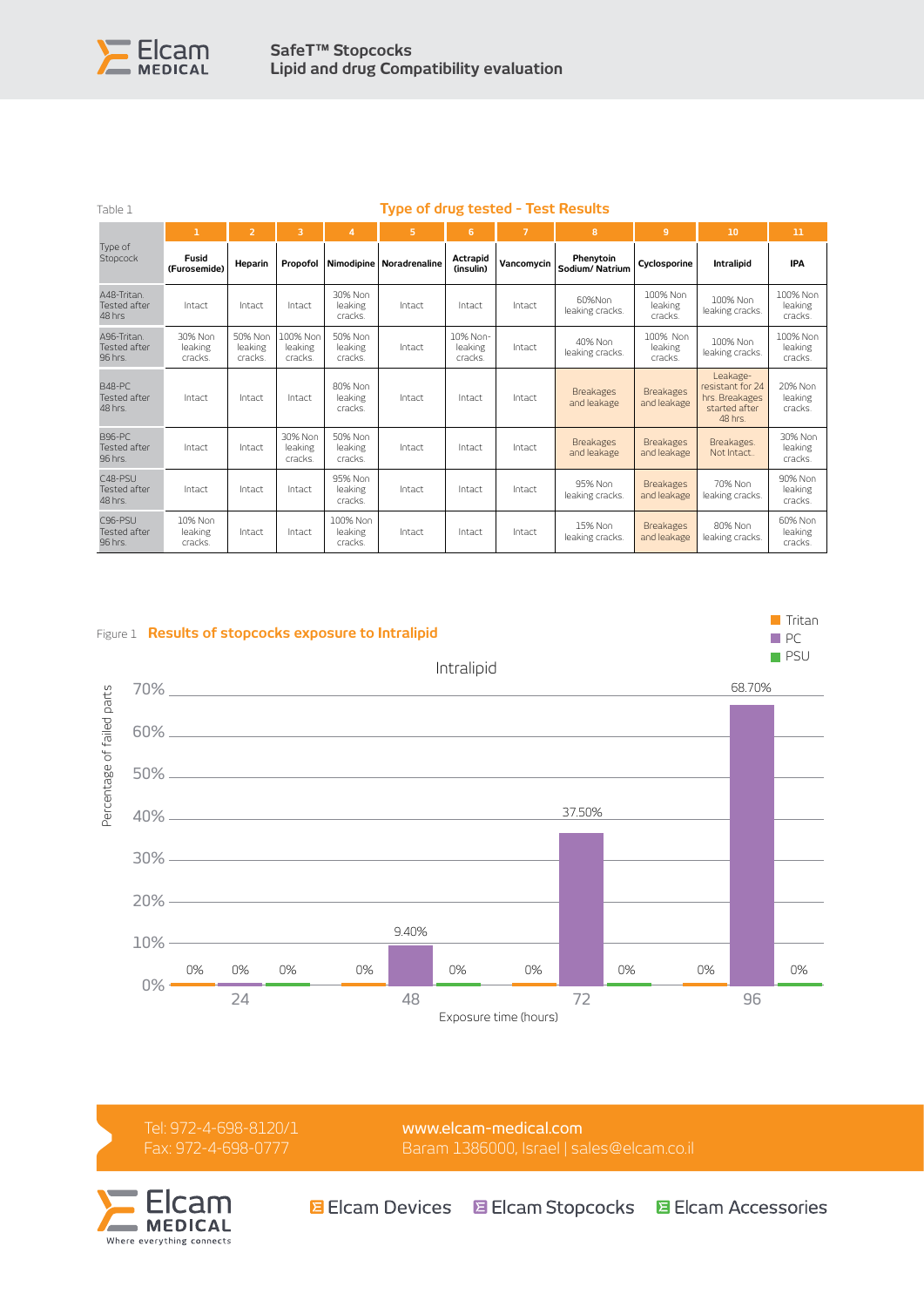

| Table 1                                      |                               | <b>Type of drug tested - Test Results</b> |                                |                                |                            |                                |                |                                 |                                 |                                                                            |                                |
|----------------------------------------------|-------------------------------|-------------------------------------------|--------------------------------|--------------------------------|----------------------------|--------------------------------|----------------|---------------------------------|---------------------------------|----------------------------------------------------------------------------|--------------------------------|
|                                              | $\mathbf{1}$                  | $\overline{2}$                            | 3                              | $\overline{a}$                 | 5                          | 6                              | $\overline{7}$ | 8                               | $\overline{9}$                  | 10                                                                         | 11                             |
| Type of<br>Stopcock                          | Fusid<br>(Furosemide)         | Heparin                                   | Propofol                       |                                | Nimodipine   Noradrenaline | Actrapid<br>(insulin)          | Vancomycin     | Phenytoin<br>Sodium/Natrium     | Cyclosporine                    | Intralipid                                                                 | <b>IPA</b>                     |
| A48-Tritan<br>Tested after<br>48 hrs         | Intact                        | Intact                                    | Intact                         | 30% Non<br>leaking<br>cracks.  | Intact                     | Intact                         | Intact         | 60%Non<br>leaking cracks.       | 100% Non<br>leaking<br>cracks.  | 100% Non<br>leaking cracks.                                                | 100% Non<br>leaking<br>cracks. |
| A96-Tritan<br><b>Tested after</b><br>96 hrs. | 30% Non<br>leaking<br>cracks. | 50% Non<br>leaking<br>cracks.             | 100% Non<br>leaking<br>cracks. | 50% Non<br>leaking<br>cracks.  | Intact                     | 10% Non-<br>leaking<br>cracks. | Intact         | 40% Non<br>leaking cracks.      | 100% Non<br>leaking<br>cracks.  | 100% Non<br>leaking cracks.                                                | 100% Non<br>leaking<br>cracks. |
| <b>B48-PC</b><br>Tested after<br>48 hrs.     | Intact                        | Intact                                    | Intact                         | 80% Non<br>leaking<br>cracks.  | Intact                     | Intact                         | Intact         | <b>Breakages</b><br>and leakage | <b>Breakages</b><br>and leakage | Leakage-<br>resistant for 24<br>hrs. Breakages<br>started after<br>48 hrs. | 20% Non<br>leaking<br>cracks.  |
| B96-PC<br>Tested after<br>96 hrs.            | Intact                        | Intact                                    | 30% Non<br>leaking<br>cracks.  | 50% Non<br>leaking<br>cracks.  | Intact                     | Intact                         | Intact         | <b>Breakages</b><br>and leakage | <b>Breakages</b><br>and leakage | Breakages.<br>Not Intact                                                   | 30% Non<br>leaking<br>cracks.  |
| $C48-PSU$<br>Tested after<br>48 hrs.         | Intact                        | Intact                                    | Intact                         | 95% Non<br>leaking<br>cracks.  | Intact                     | Intact                         | Intact         | 95% Non<br>leaking cracks.      | <b>Breakages</b><br>and leakage | 70% Non<br>leaking cracks.                                                 | 90% Non<br>leaking<br>cracks.  |
| $C96-PSU$<br>Tested after<br>96 hrs.         | 10% Non<br>leaking<br>cracks. | Intact                                    | Intact                         | 100% Non<br>leaking<br>cracks. | Intact                     | Intact                         | Intact         | 15% Non<br>leaking cracks.      | <b>Breakages</b><br>and leakage | 80% Non<br>leaking cracks.                                                 | 60% Non<br>leaking<br>cracks.  |



Tel: 972-4-698-8120/1 Fax: 972-4-698-0777

[www.elcam-medical.com](http://www.elcam-medical.com) Baram 1386000, Israel | [sales@elcam.co.il](mailto:sales@elcam.co.il)



**B** Elcam Devices 国 Elcam Stopcocks 国 Elcam Accessories